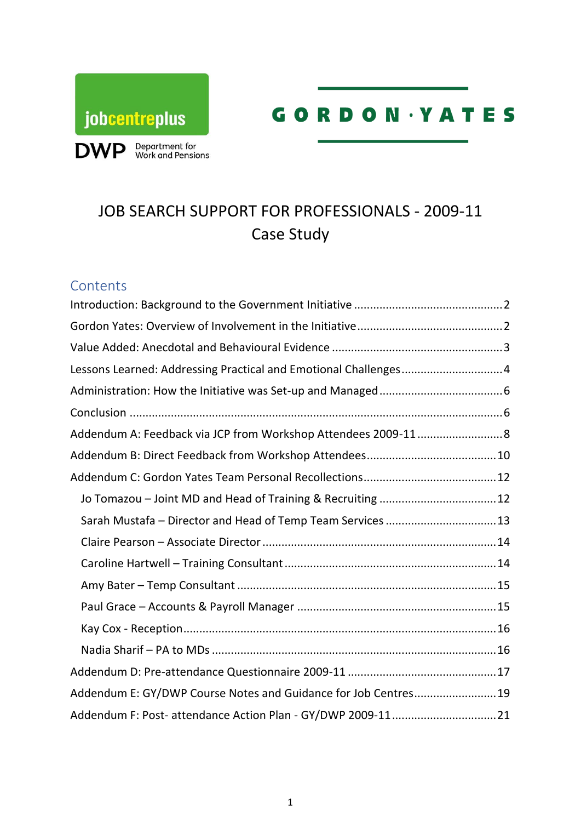



# JOB SEARCH SUPPORT FOR PROFESSIONALS - 2009-11 Case Study

### **Contents**

| Lessons Learned: Addressing Practical and Emotional Challenges4 |  |
|-----------------------------------------------------------------|--|
|                                                                 |  |
|                                                                 |  |
|                                                                 |  |
|                                                                 |  |
|                                                                 |  |
|                                                                 |  |
| Sarah Mustafa - Director and Head of Temp Team Services  13     |  |
|                                                                 |  |
|                                                                 |  |
|                                                                 |  |
|                                                                 |  |
|                                                                 |  |
|                                                                 |  |
|                                                                 |  |
| Addendum E: GY/DWP Course Notes and Guidance for Job Centres19  |  |
| Addendum F: Post- attendance Action Plan - GY/DWP 2009-1121     |  |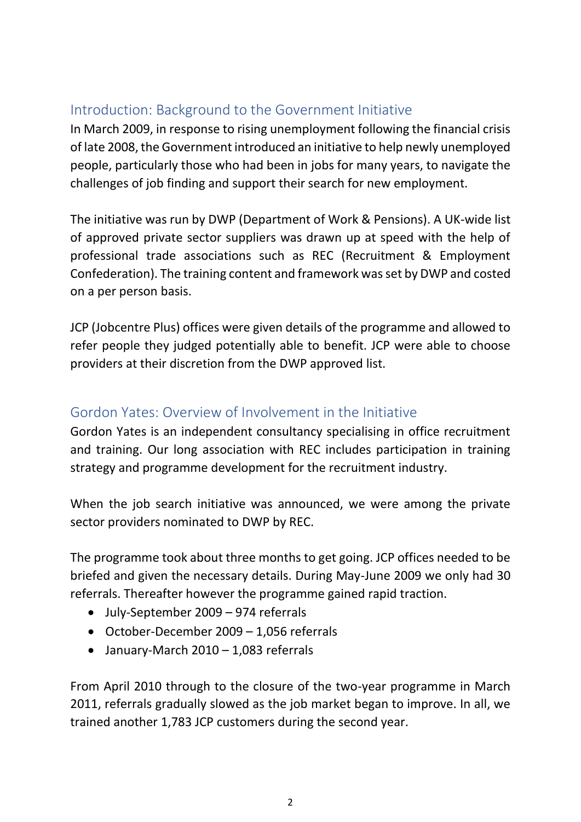# <span id="page-1-0"></span>Introduction: Background to the Government Initiative

In March 2009, in response to rising unemployment following the financial crisis of late 2008, the Government introduced an initiative to help newly unemployed people, particularly those who had been in jobs for many years, to navigate the challenges of job finding and support their search for new employment.

The initiative was run by DWP (Department of Work & Pensions). A UK-wide list of approved private sector suppliers was drawn up at speed with the help of professional trade associations such as REC (Recruitment & Employment Confederation). The training content and framework was set by DWP and costed on a per person basis.

JCP (Jobcentre Plus) offices were given details of the programme and allowed to refer people they judged potentially able to benefit. JCP were able to choose providers at their discretion from the DWP approved list.

# <span id="page-1-1"></span>Gordon Yates: Overview of Involvement in the Initiative

Gordon Yates is an independent consultancy specialising in office recruitment and training. Our long association with REC includes participation in training strategy and programme development for the recruitment industry.

When the job search initiative was announced, we were among the private sector providers nominated to DWP by REC.

The programme took about three months to get going. JCP offices needed to be briefed and given the necessary details. During May-June 2009 we only had 30 referrals. Thereafter however the programme gained rapid traction.

- July-September 2009 974 referrals
- October-December 2009 1,056 referrals
- January-March 2010 1,083 referrals

From April 2010 through to the closure of the two-year programme in March 2011, referrals gradually slowed as the job market began to improve. In all, we trained another 1,783 JCP customers during the second year.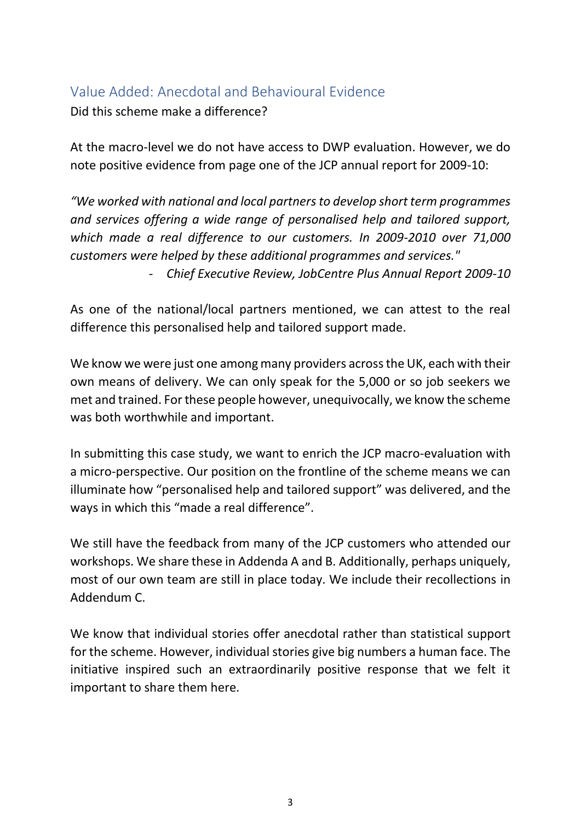### <span id="page-2-0"></span>Value Added: Anecdotal and Behavioural Evidence

Did this scheme make a difference?

At the macro-level we do not have access to DWP evaluation. However, we do note positive evidence from page one of the JCP annual report for 2009-10:

*"We worked with national and local partners to develop short term programmes and services offering a wide range of personalised help and tailored support, which made a real difference to our customers. In 2009-2010 over 71,000 customers were helped by these additional programmes and services."*

- *Chief Executive Review, JobCentre Plus Annual Report 2009-10*

As one of the national/local partners mentioned, we can attest to the real difference this personalised help and tailored support made.

We know we were just one among many providers across the UK, each with their own means of delivery. We can only speak for the 5,000 or so job seekers we met and trained. For these people however, unequivocally, we know the scheme was both worthwhile and important.

In submitting this case study, we want to enrich the JCP macro-evaluation with a micro-perspective. Our position on the frontline of the scheme means we can illuminate how "personalised help and tailored support" was delivered, and the ways in which this "made a real difference".

We still have the feedback from many of the JCP customers who attended our workshops. We share these in Addenda A and B. Additionally, perhaps uniquely, most of our own team are still in place today. We include their recollections in Addendum C.

We know that individual stories offer anecdotal rather than statistical support for the scheme. However, individual stories give big numbers a human face. The initiative inspired such an extraordinarily positive response that we felt it important to share them here.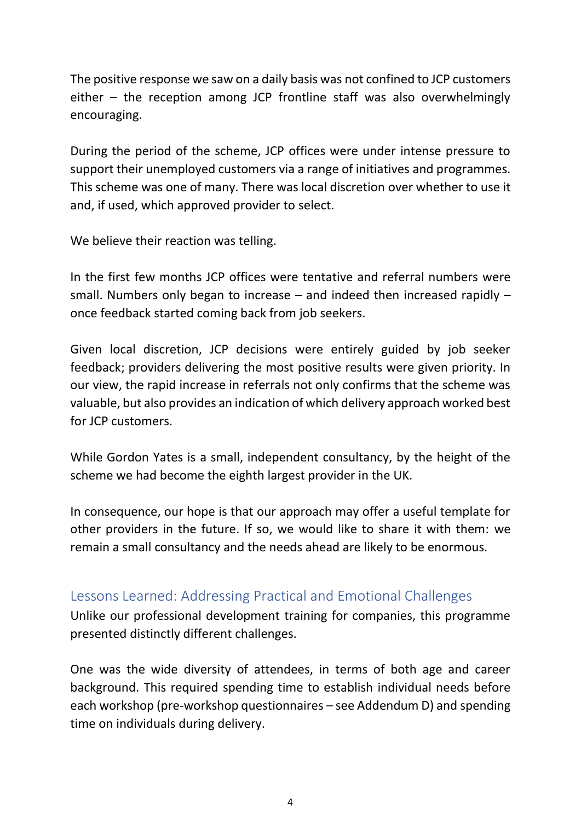The positive response we saw on a daily basis was not confined to JCP customers either – the reception among JCP frontline staff was also overwhelmingly encouraging.

During the period of the scheme, JCP offices were under intense pressure to support their unemployed customers via a range of initiatives and programmes. This scheme was one of many. There was local discretion over whether to use it and, if used, which approved provider to select.

We believe their reaction was telling.

In the first few months JCP offices were tentative and referral numbers were small. Numbers only began to increase – and indeed then increased rapidly – once feedback started coming back from job seekers.

Given local discretion, JCP decisions were entirely guided by job seeker feedback; providers delivering the most positive results were given priority. In our view, the rapid increase in referrals not only confirms that the scheme was valuable, but also provides an indication of which delivery approach worked best for JCP customers.

While Gordon Yates is a small, independent consultancy, by the height of the scheme we had become the eighth largest provider in the UK.

In consequence, our hope is that our approach may offer a useful template for other providers in the future. If so, we would like to share it with them: we remain a small consultancy and the needs ahead are likely to be enormous.

# <span id="page-3-0"></span>Lessons Learned: Addressing Practical and Emotional Challenges

Unlike our professional development training for companies, this programme presented distinctly different challenges.

One was the wide diversity of attendees, in terms of both age and career background. This required spending time to establish individual needs before each workshop (pre-workshop questionnaires – see Addendum D) and spending time on individuals during delivery.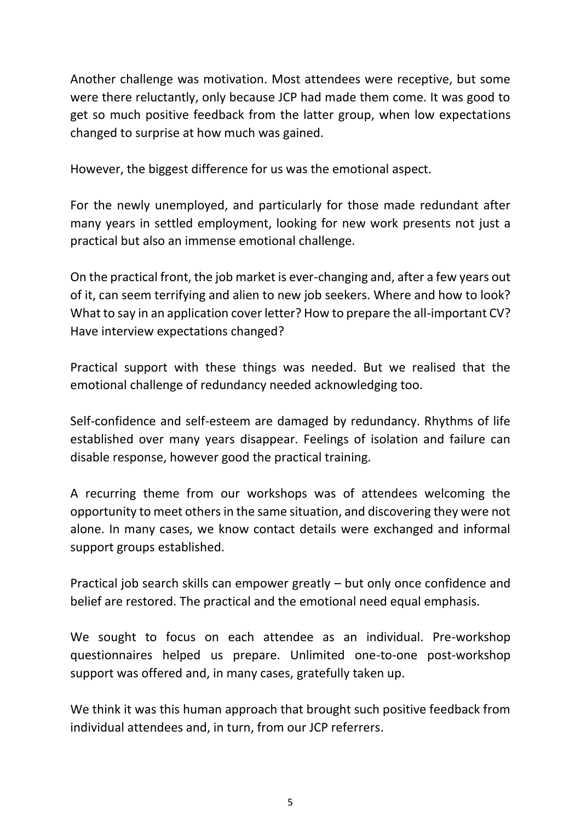Another challenge was motivation. Most attendees were receptive, but some were there reluctantly, only because JCP had made them come. It was good to get so much positive feedback from the latter group, when low expectations changed to surprise at how much was gained.

However, the biggest difference for us was the emotional aspect.

For the newly unemployed, and particularly for those made redundant after many years in settled employment, looking for new work presents not just a practical but also an immense emotional challenge.

On the practical front, the job market is ever-changing and, after a few years out of it, can seem terrifying and alien to new job seekers. Where and how to look? What to say in an application cover letter? How to prepare the all-important CV? Have interview expectations changed?

Practical support with these things was needed. But we realised that the emotional challenge of redundancy needed acknowledging too.

Self-confidence and self-esteem are damaged by redundancy. Rhythms of life established over many years disappear. Feelings of isolation and failure can disable response, however good the practical training.

A recurring theme from our workshops was of attendees welcoming the opportunity to meet others in the same situation, and discovering they were not alone. In many cases, we know contact details were exchanged and informal support groups established.

Practical job search skills can empower greatly – but only once confidence and belief are restored. The practical and the emotional need equal emphasis.

We sought to focus on each attendee as an individual. Pre-workshop questionnaires helped us prepare. Unlimited one-to-one post-workshop support was offered and, in many cases, gratefully taken up.

We think it was this human approach that brought such positive feedback from individual attendees and, in turn, from our JCP referrers.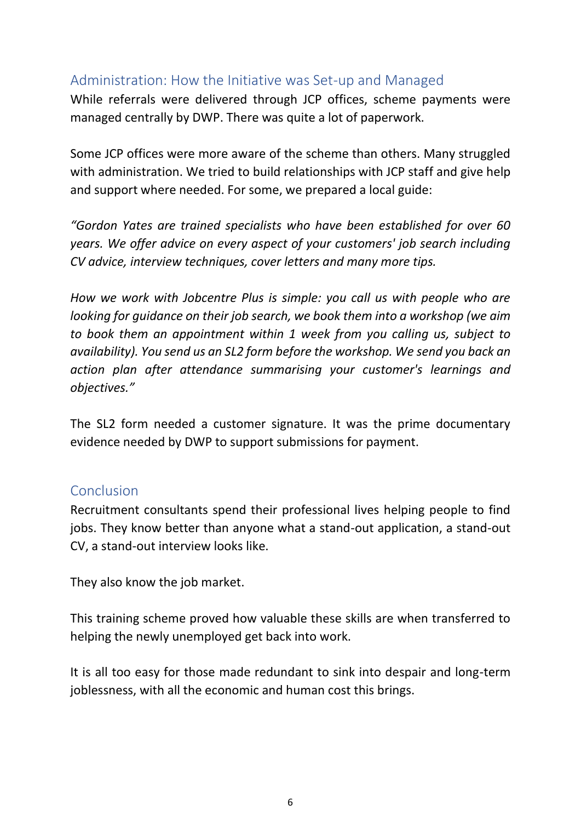### <span id="page-5-0"></span>Administration: How the Initiative was Set-up and Managed

While referrals were delivered through JCP offices, scheme payments were managed centrally by DWP. There was quite a lot of paperwork.

Some JCP offices were more aware of the scheme than others. Many struggled with administration. We tried to build relationships with JCP staff and give help and support where needed. For some, we prepared a local guide:

*"Gordon Yates are trained specialists who have been established for over 60 years. We offer advice on every aspect of your customers' job search including CV advice, interview techniques, cover letters and many more tips.*

*How we work with Jobcentre Plus is simple: you call us with people who are looking for guidance on their job search, we book them into a workshop (we aim to book them an appointment within 1 week from you calling us, subject to availability). You send us an SL2 form before the workshop. We send you back an action plan after attendance summarising your customer's learnings and objectives."*

The SL2 form needed a customer signature. It was the prime documentary evidence needed by DWP to support submissions for payment.

### <span id="page-5-1"></span>Conclusion

Recruitment consultants spend their professional lives helping people to find jobs. They know better than anyone what a stand-out application, a stand-out CV, a stand-out interview looks like.

They also know the job market.

This training scheme proved how valuable these skills are when transferred to helping the newly unemployed get back into work.

It is all too easy for those made redundant to sink into despair and long-term joblessness, with all the economic and human cost this brings.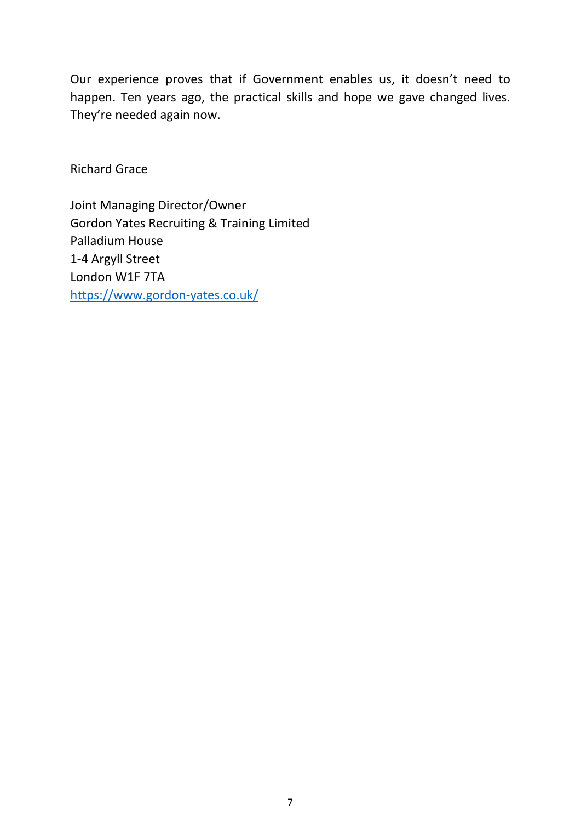Our experience proves that if Government enables us, it doesn't need to happen. Ten years ago, the practical skills and hope we gave changed lives. They're needed again now.

Richard Grace

Joint Managing Director/Owner Gordon Yates Recruiting & Training Limited Palladium House 1-4 Argyll Street London W1F 7TA <https://www.gordon-yates.co.uk/>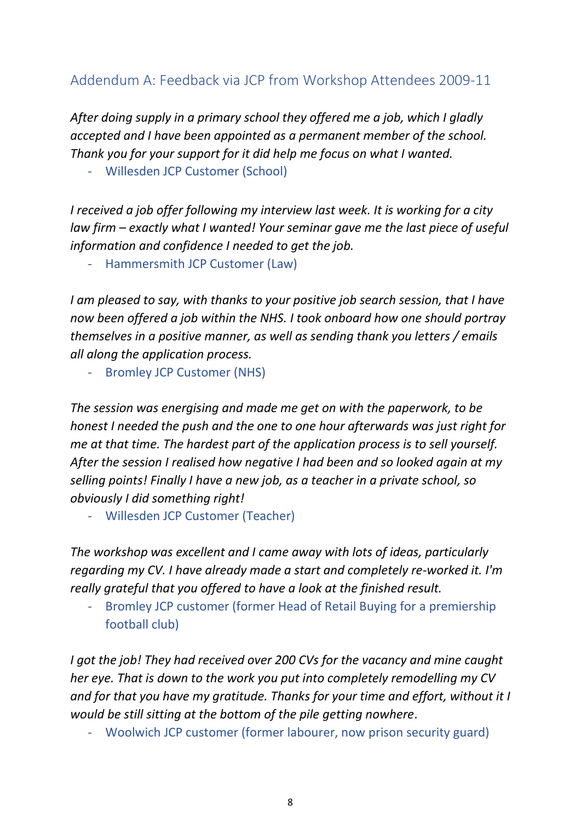# <span id="page-7-0"></span>Addendum A: Feedback via JCP from Workshop Attendees 2009-11

*After doing supply in a primary school they offered me a job, which I gladly accepted and I have been appointed as a permanent member of the school. Thank you for your support for it did help me focus on what I wanted.*

- Willesden JCP Customer (School)

*I received a job offer following my interview last week. It is working for a city law firm – exactly what I wanted! Your seminar gave me the last piece of useful information and confidence I needed to get the job.*

Hammersmith JCP Customer (Law)

*I am pleased to say, with thanks to your positive job search session, that I have now been offered a job within the NHS. I took onboard how one should portray themselves in a positive manner, as well as sending thank you letters / emails all along the application process.*

Bromley JCP Customer (NHS)

*The session was energising and made me get on with the paperwork, to be honest I needed the push and the one to one hour afterwards was just right for me at that time. The hardest part of the application process is to sell yourself. After the session I realised how negative I had been and so looked again at my selling points! Finally I have a new job, as a teacher in a private school, so obviously I did something right!*

- Willesden JCP Customer (Teacher)

*The workshop was excellent and I came away with lots of ideas, particularly regarding my CV. I have already made a start and completely re-worked it. I'm really grateful that you offered to have a look at the finished result.*

- Bromley JCP customer (former Head of Retail Buying for a premiership football club)

*I got the job! They had received over 200 CVs for the vacancy and mine caught her eye. That is down to the work you put into completely remodelling my CV and for that you have my gratitude. Thanks for your time and effort, without it I would be still sitting at the bottom of the pile getting nowhere*.

- Woolwich JCP customer (former labourer, now prison security guard)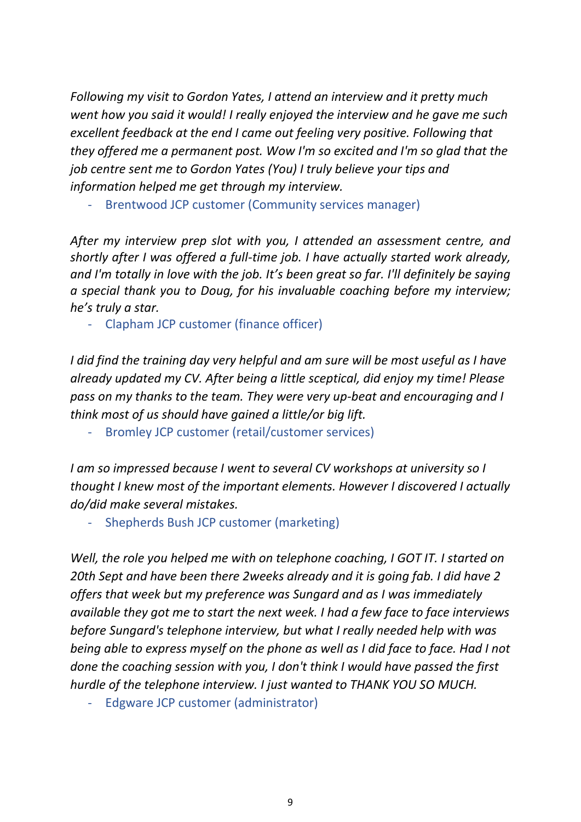*Following my visit to Gordon Yates, I attend an interview and it pretty much went how you said it would! I really enjoyed the interview and he gave me such excellent feedback at the end I came out feeling very positive. Following that they offered me a permanent post. Wow I'm so excited and I'm so glad that the job centre sent me to Gordon Yates (You) I truly believe your tips and information helped me get through my interview.*

Brentwood JCP customer (Community services manager)

*After my interview prep slot with you, I attended an assessment centre, and shortly after I was offered a full-time job. I have actually started work already, and I'm totally in love with the job. It's been great so far. I'll definitely be saying a special thank you to Doug, for his invaluable coaching before my interview; he's truly a star.*

- Clapham JCP customer (finance officer)

*I did find the training day very helpful and am sure will be most useful as I have already updated my CV. After being a little sceptical, did enjoy my time! Please pass on my thanks to the team. They were very up-beat and encouraging and I think most of us should have gained a little/or big lift.* 

Bromley JCP customer (retail/customer services)

*I am so impressed because I went to several CV workshops at university so I thought I knew most of the important elements. However I discovered I actually do/did make several mistakes.*

- Shepherds Bush JCP customer (marketing)

*Well, the role you helped me with on telephone coaching, I GOT IT. I started on 20th Sept and have been there 2weeks already and it is going fab. I did have 2 offers that week but my preference was Sungard and as I was immediately available they got me to start the next week. I had a few face to face interviews before Sungard's telephone interview, but what I really needed help with was being able to express myself on the phone as well as I did face to face. Had I not done the coaching session with you, I don't think I would have passed the first hurdle of the telephone interview. I just wanted to THANK YOU SO MUCH.*

Edgware JCP customer (administrator)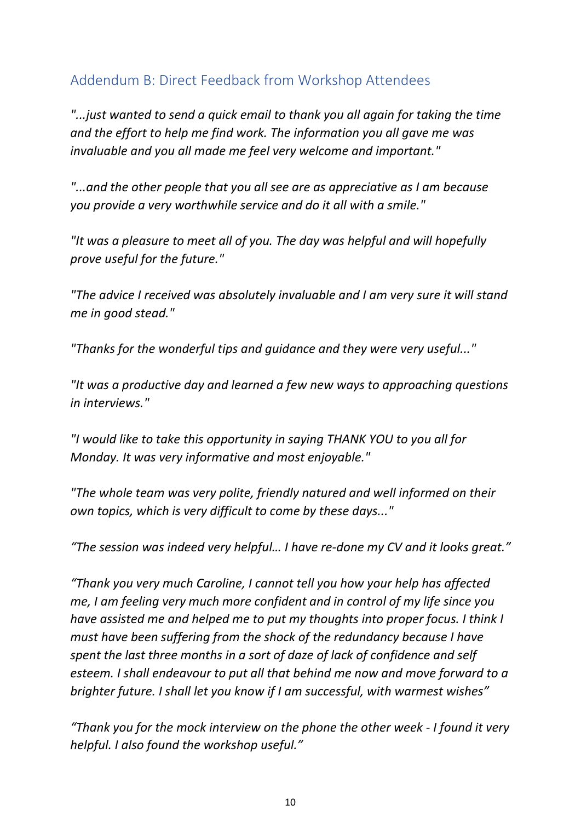# <span id="page-9-0"></span>Addendum B: Direct Feedback from Workshop Attendees

*"...just wanted to send a quick email to thank you all again for taking the time and the effort to help me find work. The information you all gave me was invaluable and you all made me feel very welcome and important."*

*"...and the other people that you all see are as appreciative as I am because you provide a very worthwhile service and do it all with a smile."*

*"It was a pleasure to meet all of you. The day was helpful and will hopefully prove useful for the future."*

*"The advice I received was absolutely invaluable and I am very sure it will stand me in good stead."*

*"Thanks for the wonderful tips and guidance and they were very useful..."*

*"It was a productive day and learned a few new ways to approaching questions in interviews."*

*"I would like to take this opportunity in saying THANK YOU to you all for Monday. It was very informative and most enjoyable."*

*"The whole team was very polite, friendly natured and well informed on their own topics, which is very difficult to come by these days..."*

*"The session was indeed very helpful… I have re-done my CV and it looks great."*

*"Thank you very much Caroline, I cannot tell you how your help has affected me, I am feeling very much more confident and in control of my life since you have assisted me and helped me to put my thoughts into proper focus. I think I must have been suffering from the shock of the redundancy because I have spent the last three months in a sort of daze of lack of confidence and self esteem. I shall endeavour to put all that behind me now and move forward to a brighter future. I shall let you know if I am successful, with warmest wishes"*

*"Thank you for the mock interview on the phone the other week - I found it very helpful. I also found the workshop useful."*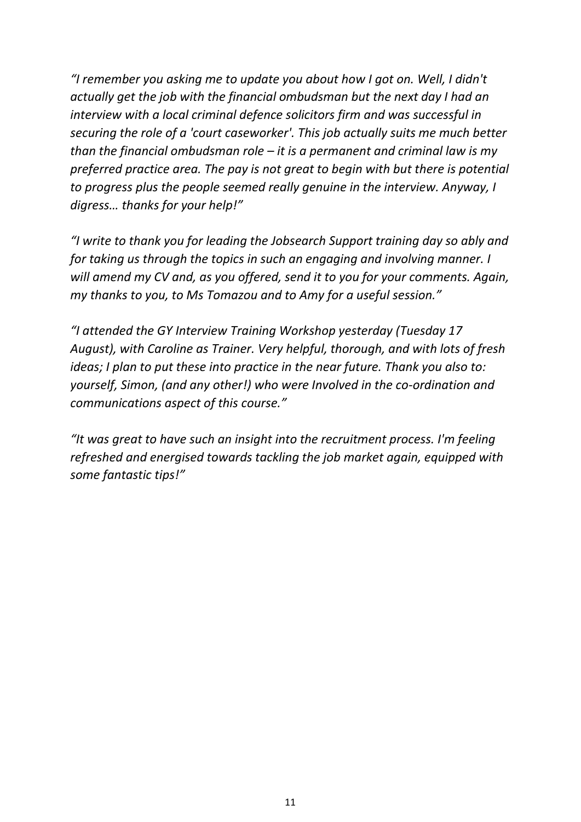*"I remember you asking me to update you about how I got on. Well, I didn't actually get the job with the financial ombudsman but the next day I had an interview with a local criminal defence solicitors firm and was successful in securing the role of a 'court caseworker'. This job actually suits me much better than the financial ombudsman role – it is a permanent and criminal law is my preferred practice area. The pay is not great to begin with but there is potential to progress plus the people seemed really genuine in the interview. Anyway, I digress… thanks for your help!"*

*"I write to thank you for leading the Jobsearch Support training day so ably and for taking us through the topics in such an engaging and involving manner. I will amend my CV and, as you offered, send it to you for your comments. Again, my thanks to you, to Ms Tomazou and to Amy for a useful session."*

*"I attended the GY Interview Training Workshop yesterday (Tuesday 17 August), with Caroline as Trainer. Very helpful, thorough, and with lots of fresh ideas; I plan to put these into practice in the near future. Thank you also to: yourself, Simon, (and any other!) who were Involved in the co-ordination and communications aspect of this course."*

*"It was great to have such an insight into the recruitment process. I'm feeling refreshed and energised towards tackling the job market again, equipped with some fantastic tips!"*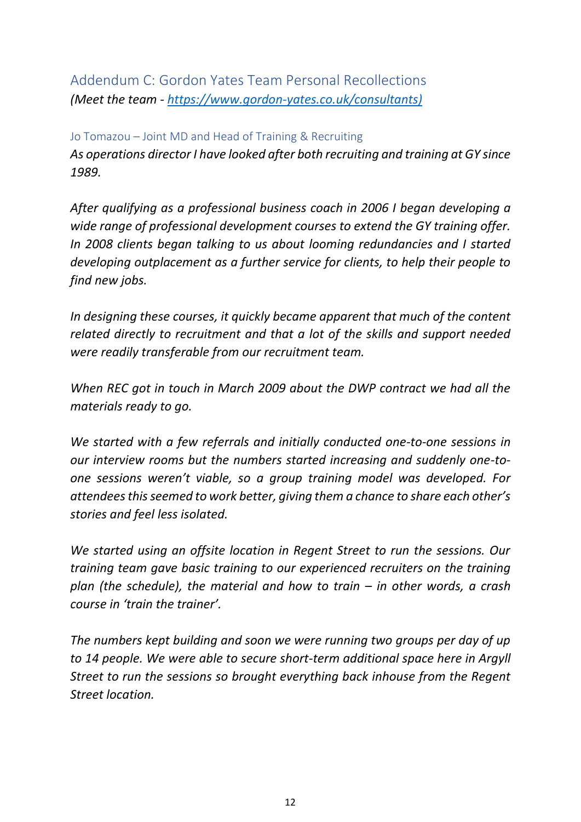<span id="page-11-0"></span>Addendum C: Gordon Yates Team Personal Recollections *(Meet the team - [https://www.gordon-yates.co.uk/consultants\)](https://www.gordon-yates.co.uk/consultants)*

#### <span id="page-11-1"></span>Jo Tomazou – Joint MD and Head of Training & Recruiting

*As operations director I have looked after both recruiting and training at GY since 1989.*

*After qualifying as a professional business coach in 2006 I began developing a wide range of professional development courses to extend the GY training offer. In 2008 clients began talking to us about looming redundancies and I started developing outplacement as a further service for clients, to help their people to find new jobs.*

*In designing these courses, it quickly became apparent that much of the content related directly to recruitment and that a lot of the skills and support needed were readily transferable from our recruitment team.*

*When REC got in touch in March 2009 about the DWP contract we had all the materials ready to go.*

*We started with a few referrals and initially conducted one-to-one sessions in our interview rooms but the numbers started increasing and suddenly one-toone sessions weren't viable, so a group training model was developed. For attendees this seemed to work better, giving them a chance to share each other's stories and feel less isolated.*

*We started using an offsite location in Regent Street to run the sessions. Our training team gave basic training to our experienced recruiters on the training plan (the schedule), the material and how to train – in other words, a crash course in 'train the trainer'.*

*The numbers kept building and soon we were running two groups per day of up to 14 people. We were able to secure short-term additional space here in Argyll Street to run the sessions so brought everything back inhouse from the Regent Street location.*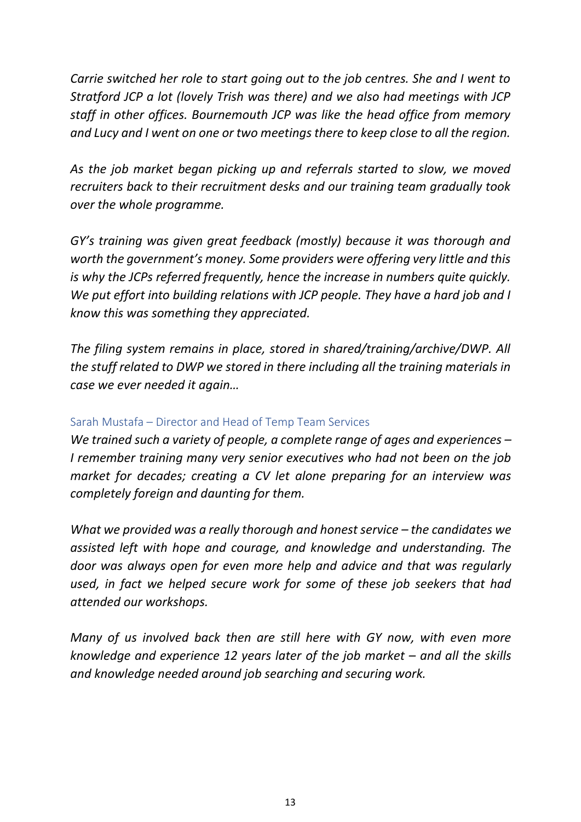*Carrie switched her role to start going out to the job centres. She and I went to Stratford JCP a lot (lovely Trish was there) and we also had meetings with JCP staff in other offices. Bournemouth JCP was like the head office from memory and Lucy and I went on one or two meetings there to keep close to all the region.*

*As the job market began picking up and referrals started to slow, we moved recruiters back to their recruitment desks and our training team gradually took over the whole programme.*

*GY's training was given great feedback (mostly) because it was thorough and worth the government's money. Some providers were offering very little and this is why the JCPs referred frequently, hence the increase in numbers quite quickly. We put effort into building relations with JCP people. They have a hard job and I know this was something they appreciated.*

*The filing system remains in place, stored in shared/training/archive/DWP. All the stuff related to DWP we stored in there including all the training materials in case we ever needed it again…*

### <span id="page-12-0"></span>Sarah Mustafa – Director and Head of Temp Team Services

*We trained such a variety of people, a complete range of ages and experiences – I remember training many very senior executives who had not been on the job market for decades; creating a CV let alone preparing for an interview was completely foreign and daunting for them.*

*What we provided was a really thorough and honest service – the candidates we assisted left with hope and courage, and knowledge and understanding. The door was always open for even more help and advice and that was regularly used, in fact we helped secure work for some of these job seekers that had attended our workshops.*

*Many of us involved back then are still here with GY now, with even more knowledge and experience 12 years later of the job market – and all the skills and knowledge needed around job searching and securing work.*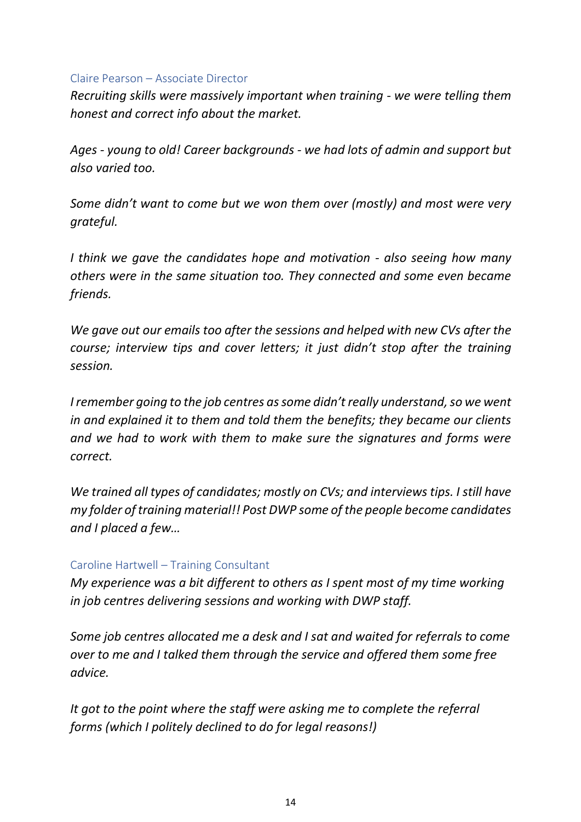#### <span id="page-13-0"></span>Claire Pearson – Associate Director

*Recruiting skills were massively important when training - we were telling them honest and correct info about the market.*

*Ages - young to old! Career backgrounds - we had lots of admin and support but also varied too.*

*Some didn't want to come but we won them over (mostly) and most were very grateful.*

*I think we gave the candidates hope and motivation - also seeing how many others were in the same situation too. They connected and some even became friends.*

*We gave out our emails too after the sessions and helped with new CVs after the course; interview tips and cover letters; it just didn't stop after the training session.*

*I remember going to the job centres as some didn't really understand, so we went in and explained it to them and told them the benefits; they became our clients and we had to work with them to make sure the signatures and forms were correct.*

*We trained all types of candidates; mostly on CVs; and interviews tips. I still have my folder of training material!! Post DWP some of the people become candidates and I placed a few…*

#### <span id="page-13-1"></span>Caroline Hartwell – Training Consultant

*My experience was a bit different to others as I spent most of my time working in job centres delivering sessions and working with DWP staff.*

*Some job centres allocated me a desk and I sat and waited for referrals to come over to me and I talked them through the service and offered them some free advice.*

*It got to the point where the staff were asking me to complete the referral forms (which I politely declined to do for legal reasons!)*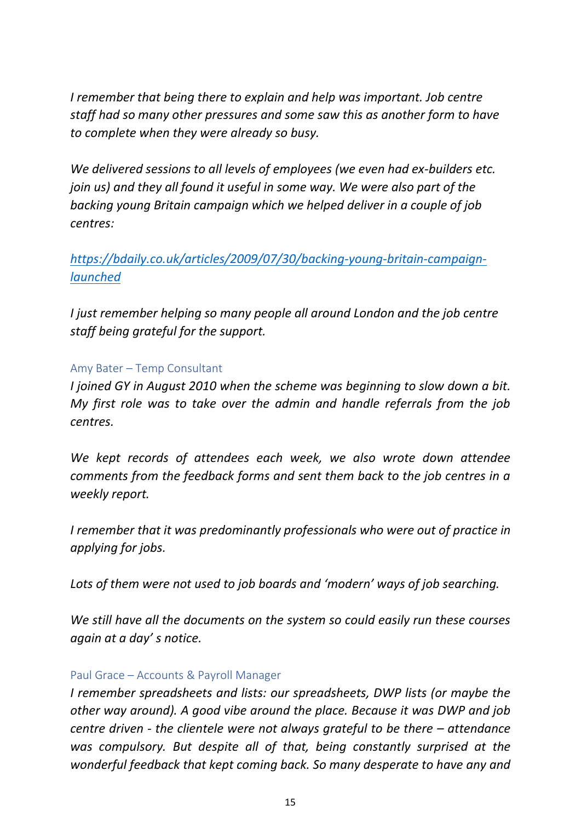*I remember that being there to explain and help was important. Job centre staff had so many other pressures and some saw this as another form to have to complete when they were already so busy.*

*We delivered sessions to all levels of employees (we even had ex-builders etc. join us) and they all found it useful in some way. We were also part of the backing young Britain campaign which we helped deliver in a couple of job centres:*

*[https://bdaily.co.uk/articles/2009/07/30/backing-young-britain-campaign](https://bdaily.co.uk/articles/2009/07/30/backing-young-britain-campaign-launched)[launched](https://bdaily.co.uk/articles/2009/07/30/backing-young-britain-campaign-launched)*

*I just remember helping so many people all around London and the job centre staff being grateful for the support.*

### <span id="page-14-0"></span>Amy Bater – Temp Consultant

*I joined GY in August 2010 when the scheme was beginning to slow down a bit. My first role was to take over the admin and handle referrals from the job centres.*

*We kept records of attendees each week, we also wrote down attendee comments from the feedback forms and sent them back to the job centres in a weekly report.*

*I remember that it was predominantly professionals who were out of practice in applying for jobs.*

*Lots of them were not used to job boards and 'modern' ways of job searching.*

*We still have all the documents on the system so could easily run these courses again at a day' s notice.*

#### <span id="page-14-1"></span>Paul Grace – Accounts & Payroll Manager

*I remember spreadsheets and lists: our spreadsheets, DWP lists (or maybe the other way around). A good vibe around the place. Because it was DWP and job centre driven - the clientele were not always grateful to be there – attendance was compulsory. But despite all of that, being constantly surprised at the wonderful feedback that kept coming back. So many desperate to have any and*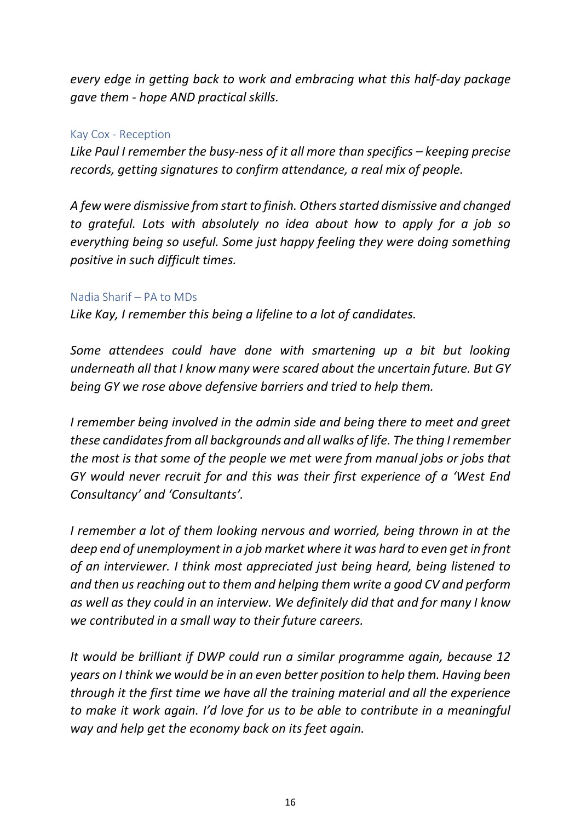*every edge in getting back to work and embracing what this half-day package gave them - hope AND practical skills.*

#### <span id="page-15-0"></span>Kay Cox - Reception

*Like Paul I remember the busy-ness of it all more than specifics – keeping precise records, getting signatures to confirm attendance, a real mix of people.*

*A few were dismissive from start to finish. Others started dismissive and changed to grateful. Lots with absolutely no idea about how to apply for a job so everything being so useful. Some just happy feeling they were doing something positive in such difficult times.*

#### <span id="page-15-1"></span>Nadia Sharif – PA to MDs

*Like Kay, I remember this being a lifeline to a lot of candidates.*

*Some attendees could have done with smartening up a bit but looking underneath all that I know many were scared about the uncertain future. But GY being GY we rose above defensive barriers and tried to help them.*

*I remember being involved in the admin side and being there to meet and greet these candidates from all backgrounds and all walks of life. The thing I remember the most is that some of the people we met were from manual jobs or jobs that GY would never recruit for and this was their first experience of a 'West End Consultancy' and 'Consultants'.*

*I remember a lot of them looking nervous and worried, being thrown in at the deep end of unemployment in a job market where it was hard to even get in front of an interviewer. I think most appreciated just being heard, being listened to and then us reaching out to them and helping them write a good CV and perform as well as they could in an interview. We definitely did that and for many I know we contributed in a small way to their future careers.*

*It would be brilliant if DWP could run a similar programme again, because 12 years on I think we would be in an even better position to help them. Having been through it the first time we have all the training material and all the experience to make it work again. I'd love for us to be able to contribute in a meaningful way and help get the economy back on its feet again.*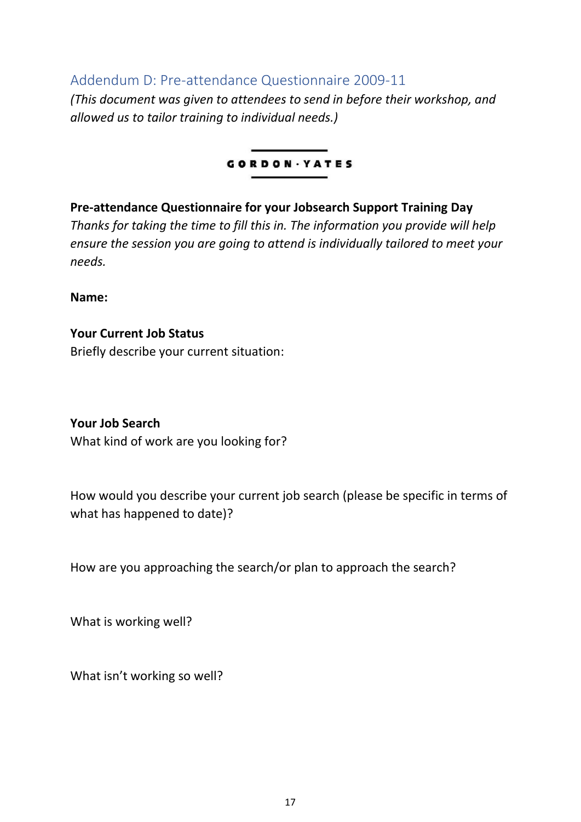<span id="page-16-0"></span>Addendum D: Pre-attendance Questionnaire 2009-11

*(This document was given to attendees to send in before their workshop, and allowed us to tailor training to individual needs.)*

### **GORDON** · YATES

**Pre-attendance Questionnaire for your Jobsearch Support Training Day** *Thanks for taking the time to fill this in. The information you provide will help ensure the session you are going to attend is individually tailored to meet your needs.*

**Name:**

**Your Current Job Status** Briefly describe your current situation:

### **Your Job Search**

What kind of work are you looking for?

How would you describe your current job search (please be specific in terms of what has happened to date)?

How are you approaching the search/or plan to approach the search?

What is working well?

What isn't working so well?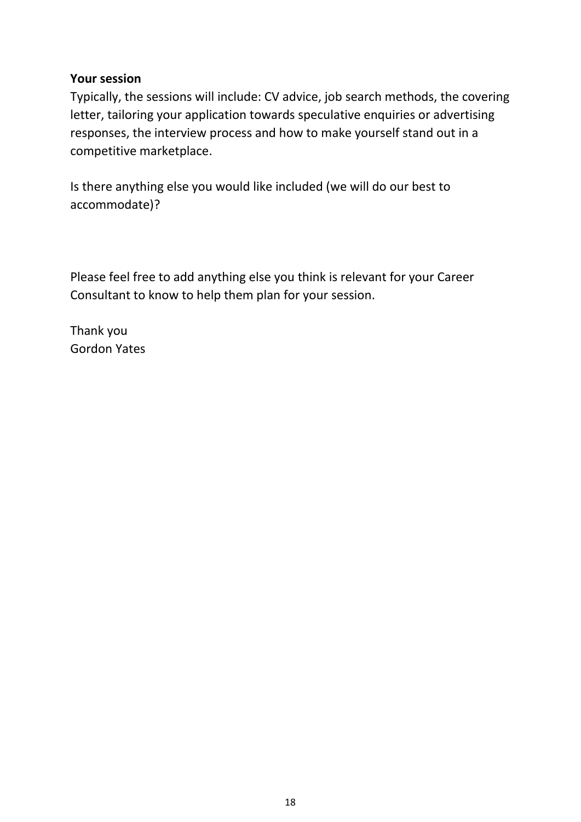### **Your session**

Typically, the sessions will include: CV advice, job search methods, the covering letter, tailoring your application towards speculative enquiries or advertising responses, the interview process and how to make yourself stand out in a competitive marketplace.

Is there anything else you would like included (we will do our best to accommodate)?

Please feel free to add anything else you think is relevant for your Career Consultant to know to help them plan for your session.

Thank you Gordon Yates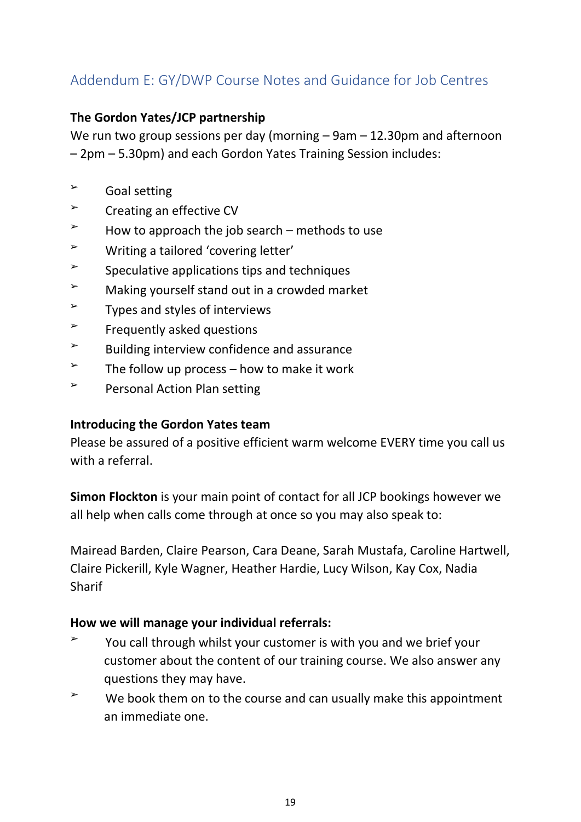# <span id="page-18-0"></span>Addendum E: GY/DWP Course Notes and Guidance for Job Centres

### **The Gordon Yates/JCP partnership**

We run two group sessions per day (morning – 9am – 12.30pm and afternoon – 2pm – 5.30pm) and each Gordon Yates Training Session includes:

- ➢ Goal setting
- ➢ Creating an effective CV
- $\geq$  How to approach the job search methods to use
- ➢ Writing a tailored 'covering letter'
- $\geq$  Speculative applications tips and techniques
- ➢ Making yourself stand out in a crowded market
- $\geq$  Types and styles of interviews
- $\geq$  Frequently asked questions
- $\geq$  Building interview confidence and assurance
- $\geq$  The follow up process how to make it work
- ➢ Personal Action Plan setting

### **Introducing the Gordon Yates team**

Please be assured of a positive efficient warm welcome EVERY time you call us with a referral.

**Simon Flockton** is your main point of contact for all JCP bookings however we all help when calls come through at once so you may also speak to:

Mairead Barden, Claire Pearson, Cara Deane, Sarah Mustafa, Caroline Hartwell, Claire Pickerill, Kyle Wagner, Heather Hardie, Lucy Wilson, Kay Cox, Nadia Sharif

#### **How we will manage your individual referrals:**

- $\geq$  You call through whilst your customer is with you and we brief your customer about the content of our training course. We also answer any questions they may have.
- $\sim$  We book them on to the course and can usually make this appointment an immediate one.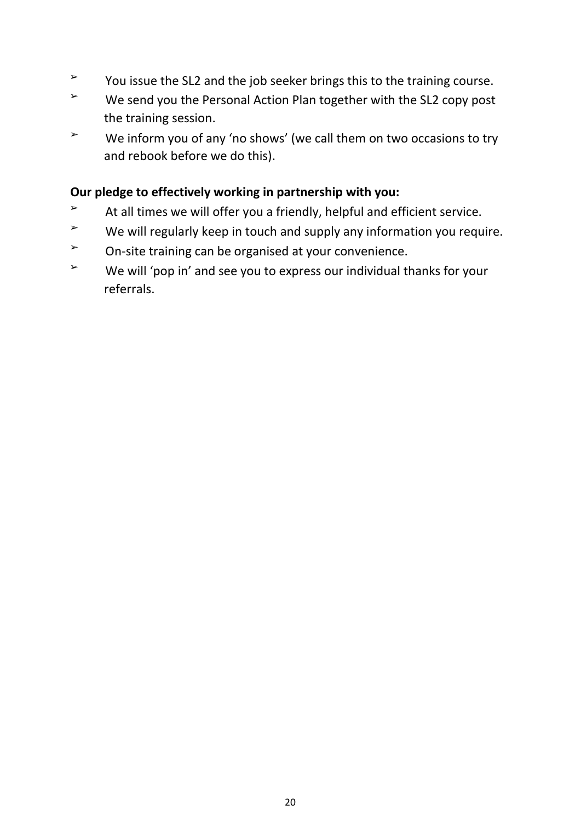- ➢ You issue the SL2 and the job seeker brings this to the training course.
- ➢ We send you the Personal Action Plan together with the SL2 copy post the training session.
- ➢ We inform you of any 'no shows' (we call them on two occasions to try and rebook before we do this).

# **Our pledge to effectively working in partnership with you:**

- $\geq$  At all times we will offer you a friendly, helpful and efficient service.
- $\geq$  We will regularly keep in touch and supply any information you require.
- ➢ On-site training can be organised at your convenience.
- ➢ We will 'pop in' and see you to express our individual thanks for your referrals.